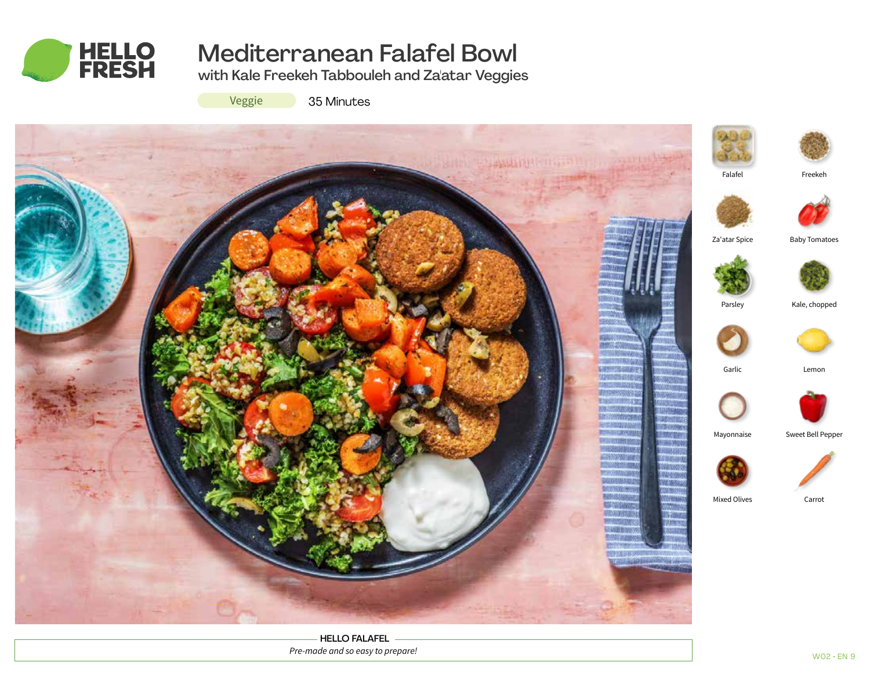

# Mediterranean Falafel Bowl

with Kale Freekeh Tabbouleh and Za'atar Veggies

Veggie

35 Minutes



HELLO FALAFEL *Pre-made and so easy to prepare!*